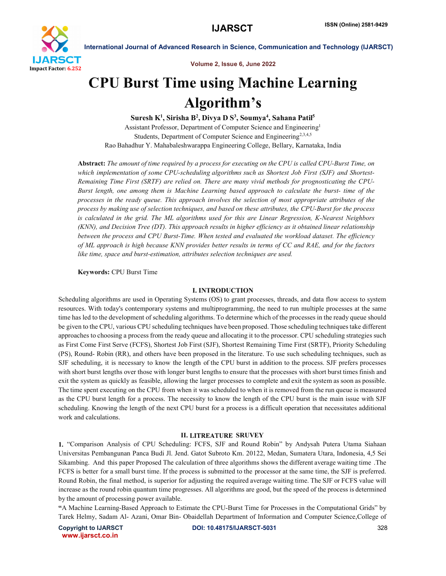

Volume 2, Issue 6, June 2022

# CPU Burst Time using Machine Learning Algorithm's

Suresh K<sup>1</sup>, Sirisha B<sup>2</sup>, Divya D S<sup>3</sup>, Soumya<sup>4</sup>, Sahana Patil<sup>5</sup> Assistant Professor, Department of Computer Science and Engineering1 Students, Department of Computer Science and Engineering<sup>2,3,4,5</sup> Rao Bahadhur Y. Mahabaleshwarappa Engineering College, Bellary, Karnataka, India

Abstract: *The amount of time required by a process for executing on the CPU is called CPU-Burst Time, on which implementation of some CPU-scheduling algorithms such as Shortest Job First (SJF) and Shortest-Remaining Time First (SRTF) are relied on. There are many vivid methods for prognosticating the CPU-Burst length, one among them is Machine Learning based approach to calculate the burst- time of the processes in the ready queue. This approach involves the selection of most appropriate attributes of the process by making use of selection techniques, and based on these attributes, the CPU-Burst for the process is calculated in the grid. The ML algorithms used for this are Linear Regression, K-Nearest Neighbors (KNN), and Decision Tree (DT). This approach results in higher efficiency as it obtained linear relationship between the process and CPU Burst-Time. When tested and evaluated the workload dataset. The efficiency of ML approach is high because KNN provides better results in terms of CC and RAE, and for the factors like time, space and burst-estimation, attributes selection techniques are used.*

Keywords: CPU Burst Time

# I. INTRODUCTION

Scheduling algorithms are used in Operating Systems (OS) to grant processes, threads, and data flow access to system resources. With today's contemporary systems and multiprogramming, the need to run multiple processes at the same time has led to the development of scheduling algorithms. To determine which of the processes in the ready queue should be given to the CPU, various CPU scheduling techniques have been proposed. Those scheduling techniques take different approaches to choosing a process from the ready queue and allocating it to the processor. CPU scheduling strategies such as First Come First Serve (FCFS), Shortest Job First (SJF), Shortest Remaining Time First (SRTF), Priority Scheduling (PS), Round- Robin (RR), and others have been proposed in the literature. To use such scheduling techniques, such as SJF scheduling, it is necessary to know the length of the CPU burst in addition to the process. SJF prefers processes with short burst lengths over those with longer burst lengths to ensure that the processes with short burst times finish and exit the system as quickly as feasible, allowing the larger processes to complete and exit the system as soon as possible. The time spent executing on the CPU from when it was scheduled to when it is removed from the run queue is measured as the CPU burst length for a process. The necessity to know the length of the CPU burst is the main issue with SJF scheduling. Knowing the length of the next CPU burst for a process is a difficult operation that necessitates additional work and calculations.

# **II. LITREATURE SRUVEY**

1. "Comparison Analysis of CPU Scheduling: FCFS, SJF and Round Robin" by Andysah Putera Utama Siahaan Universitas Pembangunan Panca Budi Jl. Jend. Gatot Subroto Km. 20122, Medan, Sumatera Utara, Indonesia, 4,5 Sei Sikambing. And this paper Proposed The calculation of three algorithms shows the different average waiting time .The FCFS is better for a small burst time. If the process is submitted to the processor at the same time, the SJF is preferred. Round Robin, the final method, is superior for adjusting the required average waiting time. The SJF or FCFS value will increase as the round robin quantum time progresses. All algorithms are good, but the speed of the process is determined by the amount of processing power available.

"A Machine Learning-Based Approach to Estimate the CPU-Burst Time for Processes in the Computational Grids" by Tarek Helmy, Sadam Al- Azani, Omar Bin- Obaidellah Department of Information and Computer Science,College of

www.ijarsct.co.in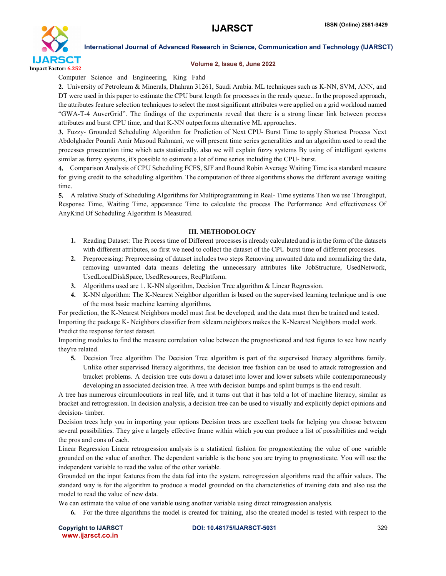

### Volume 2, Issue 6, June 2022

Computer Science and Engineering, King Fahd

2. University of Petroleum & Minerals, Dhahran 31261, Saudi Arabia. ML techniques such as K-NN, SVM, ANN, and DT were used in this paper to estimate the CPU burst length for processes in the ready queue.. In the proposed approach, the attributes feature selection techniques to select the most significant attributes were applied on a grid workload named "GWA-T-4 AuverGrid". The findings of the experiments reveal that there is a strong linear link between process attributes and burst CPU time, and that K-NN outperforms alternative ML approaches.

3. Fuzzy- Grounded Scheduling Algorithm for Prediction of Next CPU- Burst Time to apply Shortest Process Next Abdolghader Pourali Amir Masoud Rahmani, we will present time series generalities and an algorithm used to read the processes prosecution time which acts statistically. also we will explain fuzzy systems By using of intelligent systems similar as fuzzy systems, it's possible to estimate a lot of time series including the CPU- burst.

Comparison Analysis of CPU Scheduling FCFS, SJF and Round Robin Average Waiting Time is a standard measure for giving credit to the scheduling algorithm. The computation of three algorithms shows the different average waiting time.

A relative Study of Scheduling Algorithms for Multiprogramming in Real- Time systems Then we use Throughput, Response Time, Waiting Time, appearance Time to calculate the process The Performance And effectiveness Of AnyKind Of Scheduling Algorithm Is Measured.

# III. METHODOLOGY

- 1. Reading Dataset: The Process time of Different processesis already calculated and isin the form of the datasets with different attributes, so first we need to collect the dataset of the CPU burst time of different processes.
- 2. Preprocessing: Preprocessing of dataset includes two steps Removing unwanted data and normalizing the data, removing unwanted data means deleting the unnecessary attributes like JobStructure, UsedNetwork, UsedLocalDiskSpace, UsedResources, ReqPlatform.
- 3. Algorithms used are 1. K-NN algorithm, Decision Tree algorithm & Linear Regression.
- 4. K-NN algorithm: The K-Nearest Neighbor algorithm is based on the supervised learning technique and is one of the most basic machine learning algorithms.

For prediction, the K-Nearest Neighbors model must first be developed, and the data must then be trained and tested. Importing the package K- Neighbors classifier from sklearn.neighbors makes the K-Nearest Neighbors model work. Predict the response for test dataset.

Importing modules to find the measure correlation value between the prognosticated and test figures to see how nearly they're related.

5. Decision Tree algorithm The Decision Tree algorithm is part of the supervised literacy algorithms family. Unlike other supervised literacy algorithms, the decision tree fashion can be used to attack retrogression and bracket problems. A decision tree cuts down a dataset into lower and lower subsets while contemporaneously developing an associated decision tree. A tree with decision bumps and splint bumps is the end result.

A tree has numerous circumlocutions in real life, and it turns out that it has told a lot of machine literacy, similar as bracket and retrogression. In decision analysis, a decision tree can be used to visually and explicitly depict opinions and decision- timber.

Decision trees help you in importing your options Decision trees are excellent tools for helping you choose between several possibilities. They give a largely effective frame within which you can produce a list of possibilities and weigh the pros and cons of each.

Linear Regression Linear retrogression analysis is a statistical fashion for prognosticating the value of one variable grounded on the value of another. The dependent variable is the bone you are trying to prognosticate. You will use the independent variable to read the value of the other variable.

Grounded on the input features from the data fed into the system, retrogression algorithms read the affair values. The standard way is for the algorithm to produce a model grounded on the characteristics of training data and also use the model to read the value of new data.

We can estimate the value of one variable using another variable using direct retrogression analysis.

6. For the three algorithms the model is created for training, also the created model is tested with respect to the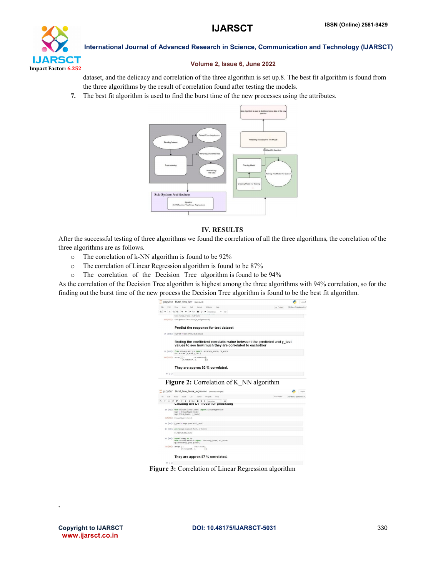

# Volume 2, Issue 6, June 2022

dataset, and the delicacy and correlation of the three algorithm is set up.8. The best fit algorithm is found from the three algorithms by the result of correlation found after testing the models.

7. The best fit algorithm is used to find the burst time of the new processes using the attributes.



# IV. RESULTS

After the successful testing of three algorithms we found the correlation of all the three algorithms, the correlation of the three algorithms are as follows.

- o The correlation of k-NN algorithm is found to be 92%
- o The correlation of Linear Regression algorithm is found to be 87%
- o The correlation of the Decision Tree algorithm is found to be 94%

As the correlation of the Decision Tree algorithm is highest among the three algorithms with 94% correlation, so for the finding out the burst time of the new process the Decision Tree algorithm is found to be the best fit algorithm.

|                  | jupyter Burst_time_knn (subsered)                                                                                                     |                       | Logout |
|------------------|---------------------------------------------------------------------------------------------------------------------------------------|-----------------------|--------|
| File<br>Eet      | Not Trusted<br>View:<br>Insert<br>Cell<br>Kernel<br>Widgets:<br>Help                                                                  | Python 3 (pykemet)    |        |
|                  | + + + Rm E C + Mandhan<br>30 倍勤<br>$V = 100$                                                                                          |                       |        |
|                  | knm.fit(X_train, y_train)                                                                                                             |                       |        |
|                  | Out[197]: KNaighborsClassifier(n_neighbors=3)                                                                                         |                       |        |
|                  | Predict the response for test dataset                                                                                                 |                       |        |
|                  | In [198]: y_pred = knn.predict(X_test)                                                                                                |                       |        |
|                  | finding the coefficient correlatio value betweent the predicted and y test<br>values to see how much they are correlated to eachother |                       |        |
|                  | In [199]: from sklearn.metrics import accuracy_score, r2_score<br>np.commooef(y pred,y test)                                          |                       |        |
|                  | Out[199]: array([[1. 0.92423557],<br>(9.92423557, 1.<br>112                                                                           |                       |        |
|                  | They are approx 92 % correlated.                                                                                                      |                       |        |
| $ln$ $ $ $ $ $ $ |                                                                                                                                       |                       |        |
|                  |                                                                                                                                       |                       |        |
|                  | <b>Figure 2:</b> Correlation of K NN algorithm                                                                                        |                       |        |
|                  | jupyter Burst_time_linear_regression (unseved changes)                                                                                |                       |        |
| Elio<br>Kdt.     | <b>Most</b><br>Insort Coll Kornol<br>Not Trusted<br>Widgels<br><b>Holz</b>                                                            | Python 3 Boykernel) C |        |
|                  | <b>+ 2: 2: E</b> + + <b>&gt; Rin B C H</b> Mandoun<br>ALC: USB<br>Creating the DT moder for predicting                                |                       |        |
|                  | In [41]: from skloarn.linear model import LinearNegression<br>regr = LinearRegression()<br>regr.fit(X_train, y_train)                 |                       |        |
|                  | out[41]: LinearRegression()                                                                                                           |                       |        |
|                  | In [42]: $\gamma$ pred = regr.predict(X test)                                                                                         |                       |        |
|                  | In [43]: print(regr.score(X_test, y_test))                                                                                            |                       |        |
|                  | 0.7589720306474497                                                                                                                    |                       |        |
|                  | In [44]: import numpy as np<br>from sklearn.metrics import accuracy score, r2 score<br>ap.corrcoef(y_pred,y_test)                     |                       |        |
|                  | Out[44]: array([1].<br>0.87119195<br>[0.87119195, 1.<br>11)                                                                           |                       |        |
|                  | They are approx 87 % correlated.                                                                                                      |                       | Logout |

Figure 3: Correlation of Linear Regression algorithm

.